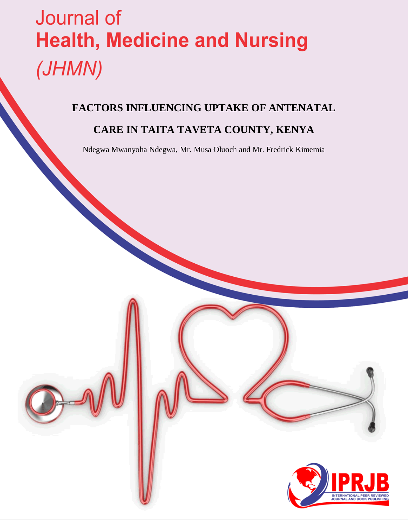# Journal of **Health, Medicine and Nursing** (JHMN)

# **FACTORS INFLUENCING UPTAKE OF ANTENATAL**

# **CARE IN TAITA TAVETA COUNTY, KENYA**

Ndegwa Mwanyoha Ndegwa, Mr. Musa Oluoch and Mr. Fredrick Kimemia

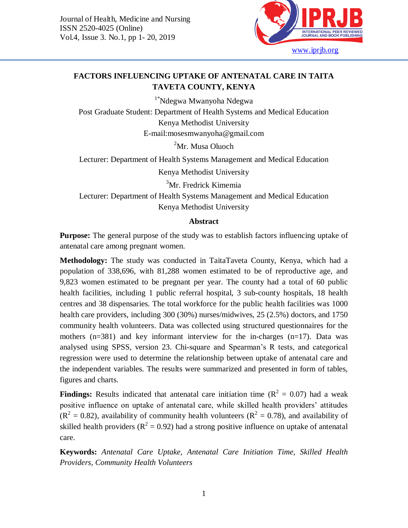

# **FACTORS INFLUENCING UPTAKE OF ANTENATAL CARE IN TAITA TAVETA COUNTY, KENYA**

1\*Ndegwa Mwanyoha Ndegwa Post Graduate Student: Department of Health Systems and Medical Education Kenya Methodist University E-mail:mosesmwanyoha@gmail.com

 ${}^{2}$ Mr. Musa Oluoch

Lecturer: Department of Health Systems Management and Medical Education

Kenya Methodist University

<sup>3</sup>Mr. Fredrick Kimemia Lecturer: Department of Health Systems Management and Medical Education Kenya Methodist University

# **Abstract**

**Purpose:** The general purpose of the study was to establish factors influencing uptake of antenatal care among pregnant women.

**Methodology:** The study was conducted in TaitaTaveta County, Kenya, which had a population of 338,696, with 81,288 women estimated to be of reproductive age, and 9,823 women estimated to be pregnant per year. The county had a total of 60 public health facilities, including 1 public referral hospital, 3 sub-county hospitals, 18 health centres and 38 dispensaries. The total workforce for the public health facilities was 1000 health care providers, including 300 (30%) nurses/midwives, 25 (2.5%) doctors, and 1750 community health volunteers. Data was collected using structured questionnaires for the mothers (n=381) and key informant interview for the in-charges (n=17). Data was analysed using SPSS, version 23. Chi-square and Spearman's R tests, and categorical regression were used to determine the relationship between uptake of antenatal care and the independent variables. The results were summarized and presented in form of tables, figures and charts.

**Findings:** Results indicated that antenatal care initiation time  $(R^2 = 0.07)$  had a weak positive influence on uptake of antenatal care, while skilled health providers' attitudes  $(R<sup>2</sup> = 0.82)$ , availability of community health volunteers  $(R<sup>2</sup> = 0.78)$ , and availability of skilled health providers ( $R^2 = 0.92$ ) had a strong positive influence on uptake of antenatal care.

**Keywords:** *Antenatal Care Uptake, Antenatal Care Initiation Time, Skilled Health Providers, Community Health Volunteers*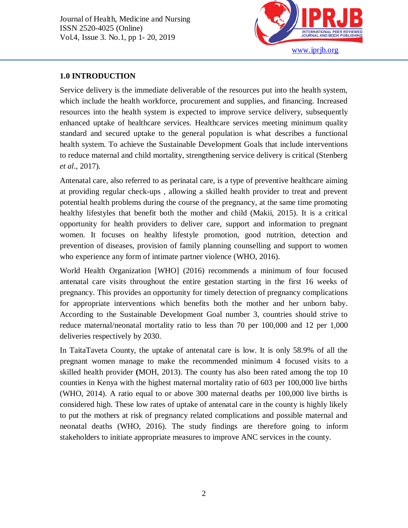

#### **1.0 INTRODUCTION**

Ī

Service delivery is the immediate deliverable of the resources put into the health system, which include the health workforce, procurement and supplies, and financing. Increased resources into the health system is expected to improve service delivery, subsequently enhanced uptake of healthcare services. Healthcare services meeting minimum quality standard and secured uptake to the general population is what describes a functional health system. To achieve the Sustainable Development Goals that include interventions to reduce maternal and child mortality, strengthening service delivery is critical (Stenberg *et al*., 2017).

Antenatal care, also referred to as perinatal care, is a type of preventive healthcare aiming at providing regular check-ups , allowing a skilled health provider to treat and prevent potential health problems during the course of the pregnancy, at the same time promoting healthy lifestyles that benefit both the mother and child (Makii, 2015). It is a critical opportunity for health providers to deliver care, support and information to pregnant women. It focuses on healthy lifestyle promotion, good nutrition, detection and prevention of diseases, provision of family planning counselling and support to women who experience any form of intimate partner violence (WHO, 2016).

World Health Organization [WHO] (2016) recommends a minimum of four focused antenatal care visits throughout the entire gestation starting in the first 16 weeks of pregnancy. This provides an opportunity for timely detection of pregnancy complications for appropriate interventions which benefits both the mother and her unborn baby. According to the Sustainable Development Goal number 3, countries should strive to reduce maternal/neonatal mortality ratio to less than 70 per 100,000 and 12 per 1,000 deliveries respectively by 2030.

In TaitaTaveta County, the uptake of antenatal care is low. It is only 58.9% of all the pregnant women manage to make the recommended minimum 4 focused visits to a skilled health provider **(**MOH, 2013). The county has also been rated among the top 10 counties in Kenya with the highest maternal mortality ratio of 603 per 100,000 live births (WHO, 2014). A ratio equal to or above 300 maternal deaths per 100,000 live births is considered high. These low rates of uptake of antenatal care in the county is highly likely to put the mothers at risk of pregnancy related complications and possible maternal and neonatal deaths (WHO, 2016). The study findings are therefore going to inform stakeholders to initiate appropriate measures to improve ANC services in the county.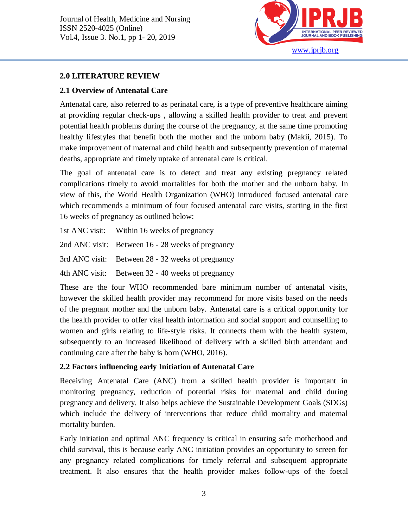

#### **2.0 LITERATURE REVIEW**

Ī

# **2.1 Overview of Antenatal Care**

Antenatal care, also referred to as perinatal care, is a type of preventive healthcare aiming at providing regular check-ups , allowing a skilled health provider to treat and prevent potential health problems during the course of the pregnancy, at the same time promoting healthy lifestyles that benefit both the mother and the unborn baby (Makii, 2015). To make improvement of maternal and child health and subsequently prevention of maternal deaths, appropriate and timely uptake of antenatal care is critical.

The goal of antenatal care is to detect and treat any existing pregnancy related complications timely to avoid mortalities for both the mother and the unborn baby. In view of this, the World Health Organization (WHO) introduced focused antenatal care which recommends a minimum of four focused antenatal care visits, starting in the first 16 weeks of pregnancy as outlined below:

1st ANC visit: Within 16 weeks of pregnancy

2nd ANC visit: Between 16 - 28 weeks of pregnancy

3rd ANC visit: Between 28 - 32 weeks of pregnancy

4th ANC visit: Between 32 - 40 weeks of pregnancy

These are the four WHO recommended bare minimum number of antenatal visits, however the skilled health provider may recommend for more visits based on the needs of the pregnant mother and the unborn baby. Antenatal care is a critical opportunity for the health provider to offer vital health information and social support and counselling to women and girls relating to life-style risks. It connects them with the health system, subsequently to an increased likelihood of delivery with a skilled birth attendant and continuing care after the baby is born (WHO, 2016).

# **2.2 Factors influencing early Initiation of Antenatal Care**

Receiving Antenatal Care (ANC) from a skilled health provider is important in monitoring pregnancy, reduction of potential risks for maternal and child during pregnancy and delivery. It also helps achieve the Sustainable Development Goals (SDGs) which include the delivery of interventions that reduce child mortality and maternal mortality burden.

Early initiation and optimal ANC frequency is critical in ensuring safe motherhood and child survival, this is because early ANC initiation provides an opportunity to screen for any pregnancy related complications for timely referral and subsequent appropriate treatment. It also ensures that the health provider makes follow-ups of the foetal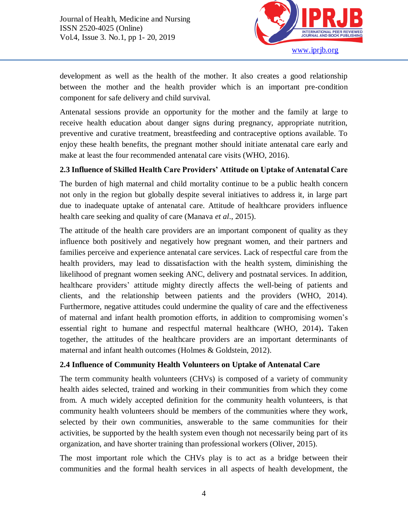

development as well as the health of the mother. It also creates a good relationship between the mother and the health provider which is an important pre-condition component for safe delivery and child survival.

Antenatal sessions provide an opportunity for the mother and the family at large to receive health education about danger signs during pregnancy, appropriate nutrition, preventive and curative treatment, breastfeeding and contraceptive options available. To enjoy these health benefits, the pregnant mother should initiate antenatal care early and make at least the four recommended antenatal care visits (WHO, 2016).

# **2.3 Influence of Skilled Health Care Providers' Attitude on Uptake of Antenatal Care**

The burden of high maternal and child mortality continue to be a public health concern not only in the region but globally despite several initiatives to address it, in large part due to inadequate uptake of antenatal care. Attitude of healthcare providers influence health care seeking and quality of care (Manava *et al*., 2015).

The attitude of the health care providers are an important component of quality as they influence both positively and negatively how pregnant women, and their partners and families perceive and experience antenatal care services. Lack of respectful care from the health providers, may lead to dissatisfaction with the health system, diminishing the likelihood of pregnant women seeking ANC, delivery and postnatal services. In addition, healthcare providers' attitude mighty directly affects the well-being of patients and clients, and the relationship between patients and the providers (WHO, 2014). Furthermore, negative attitudes could undermine the quality of care and the effectiveness of maternal and infant health promotion efforts, in addition to compromising women's essential right to humane and respectful maternal healthcare (WHO, 2014)**.** Taken together, the attitudes of the healthcare providers are an important determinants of maternal and infant health outcomes (Holmes & Goldstein, 2012).

# **2.4 Influence of Community Health Volunteers on Uptake of Antenatal Care**

The term community health volunteers (CHVs) is composed of a variety of community health aides selected, trained and working in their communities from which they come from. A much widely accepted definition for the community health volunteers, is that community health volunteers should be members of the communities where they work, selected by their own communities, answerable to the same communities for their activities, be supported by the health system even though not necessarily being part of its organization, and have shorter training than professional workers (Oliver, 2015).

The most important role which the CHVs play is to act as a bridge between their communities and the formal health services in all aspects of health development, the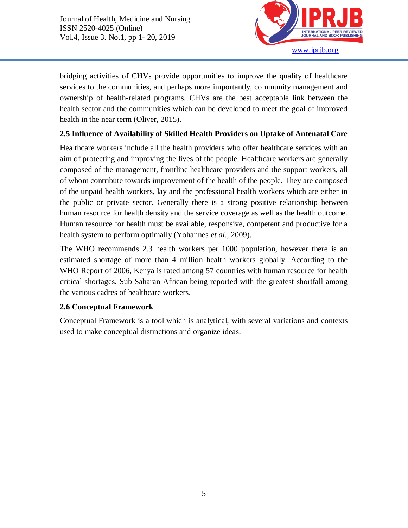

bridging activities of CHVs provide opportunities to improve the quality of healthcare services to the communities, and perhaps more importantly, community management and ownership of health-related programs. CHVs are the best acceptable link between the health sector and the communities which can be developed to meet the goal of improved health in the near term (Oliver, 2015).

# **2.5 Influence of Availability of Skilled Health Providers on Uptake of Antenatal Care**

Healthcare workers include all the health providers who offer healthcare services with an aim of protecting and improving the lives of the people. Healthcare workers are generally composed of the management, frontline healthcare providers and the support workers, all of whom contribute towards improvement of the health of the people. They are composed of the unpaid health workers, lay and the professional health workers which are either in the public or private sector. Generally there is a strong positive relationship between human resource for health density and the service coverage as well as the health outcome. Human resource for health must be available, responsive, competent and productive for a health system to perform optimally (Yohannes *et al*., 2009).

The WHO recommends 2.3 health workers per 1000 population, however there is an estimated shortage of more than 4 million health workers globally. According to the WHO Report of 2006, Kenya is rated among 57 countries with human resource for health critical shortages. Sub Saharan African being reported with the greatest shortfall among the various cadres of healthcare workers.

# **2.6 Conceptual Framework**

Conceptual Framework is a tool which is analytical, with several variations and contexts used to make conceptual distinctions and organize ideas.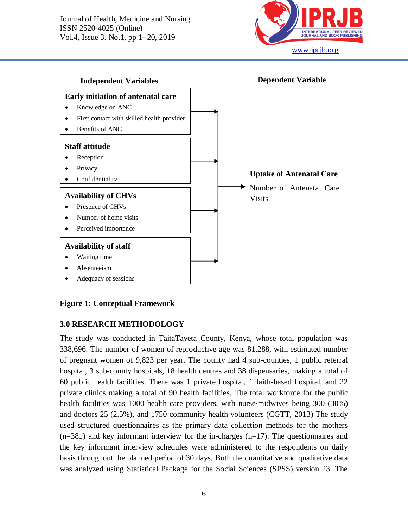



#### **Figure 1: Conceptual Framework**

#### **3.0 RESEARCH METHODOLOGY**

The study was conducted in TaitaTaveta County, Kenya, whose total population was 338,696. The number of women of reproductive age was 81,288, with estimated number of pregnant women of 9,823 per year. The county had 4 sub-counties, 1 public referral hospital, 3 sub-county hospitals, 18 health centres and 38 dispensaries, making a total of 60 public health facilities. There was 1 private hospital, 1 faith-based hospital, and 22 private clinics making a total of 90 health facilities. The total workforce for the public health facilities was 1000 health care providers, with nurse/midwives being 300 (30%) and doctors 25 (2.5%), and 1750 community health volunteers (CGTT, 2013) The study used structured questionnaires as the primary data collection methods for the mothers (n=381) and key informant interview for the in-charges (n=17). The questionnaires and the key informant interview schedules were administered to the respondents on daily basis throughout the planned period of 30 days. Both the quantitative and qualitative data was analyzed using Statistical Package for the Social Sciences (SPSS) version 23. The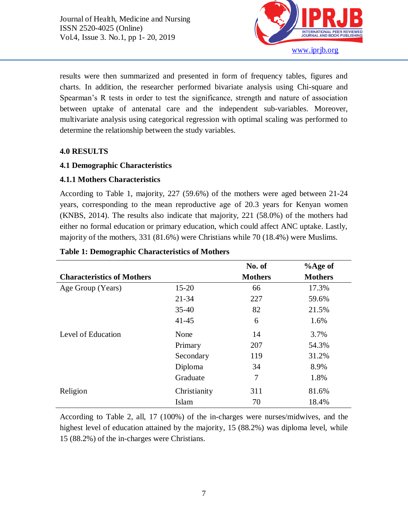

results were then summarized and presented in form of frequency tables, figures and charts. In addition, the researcher performed bivariate analysis using Chi-square and Spearman's R tests in order to test the significance, strength and nature of association between uptake of antenatal care and the independent sub-variables. Moreover, multivariate analysis using categorical regression with optimal scaling was performed to determine the relationship between the study variables.

#### **4.0 RESULTS**

Ī

# **4.1 Demographic Characteristics**

# **4.1.1 Mothers Characteristics**

According to Table 1, majority, 227 (59.6%) of the mothers were aged between 21-24 years, corresponding to the mean reproductive age of 20.3 years for Kenyan women (KNBS, 2014). The results also indicate that majority, 221 (58.0%) of the mothers had either no formal education or primary education, which could affect ANC uptake. Lastly, majority of the mothers, 331 (81.6%) were Christians while 70 (18.4%) were Muslims.

|                                   |              | No. of         | $%$ Age of     |
|-----------------------------------|--------------|----------------|----------------|
| <b>Characteristics of Mothers</b> |              | <b>Mothers</b> | <b>Mothers</b> |
| Age Group (Years)                 | $15 - 20$    | 66             | 17.3%          |
|                                   | $21 - 34$    | 227            | 59.6%          |
|                                   | $35 - 40$    | 82             | 21.5%          |
|                                   | $41 - 45$    | 6              | 1.6%           |
| Level of Education                | None         | 14             | 3.7%           |
|                                   | Primary      | 207            | 54.3%          |
|                                   | Secondary    | 119            | 31.2%          |
|                                   | Diploma      | 34             | 8.9%           |
|                                   | Graduate     | 7              | 1.8%           |
| Religion                          | Christianity | 311            | 81.6%          |
|                                   | Islam        | 70             | 18.4%          |

#### **Table 1: Demographic Characteristics of Mothers**

According to Table 2, all, 17 (100%) of the in-charges were nurses/midwives, and the highest level of education attained by the majority, 15 (88.2%) was diploma level, while 15 (88.2%) of the in-charges were Christians.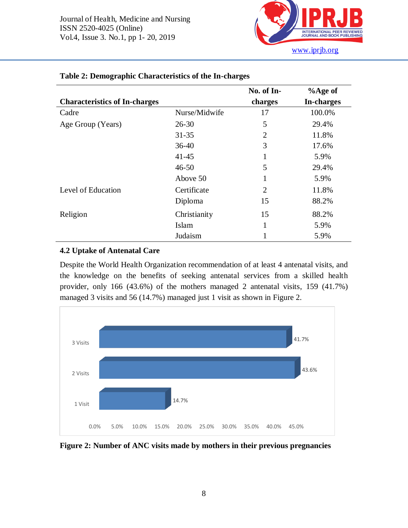

|                                      |               | No. of In-     | $%$ Age of |
|--------------------------------------|---------------|----------------|------------|
| <b>Characteristics of In-charges</b> |               | charges        | In-charges |
| Cadre                                | Nurse/Midwife | 17             | 100.0%     |
| Age Group (Years)                    | $26 - 30$     | 5              | 29.4%      |
|                                      | $31 - 35$     | $\overline{2}$ | 11.8%      |
|                                      | $36-40$       | 3              | 17.6%      |
|                                      | $41 - 45$     | 1              | 5.9%       |
|                                      | $46 - 50$     | 5              | 29.4%      |
|                                      | Above 50      | 1              | 5.9%       |
| Level of Education                   | Certificate   | $\overline{2}$ | 11.8%      |
|                                      | Diploma       | 15             | 88.2%      |
| Religion                             | Christianity  | 15             | 88.2%      |
|                                      | Islam         | 1              | 5.9%       |
|                                      | Judaism       | 1              | 5.9%       |

#### **Table 2: Demographic Characteristics of the In-charges**

#### **4.2 Uptake of Antenatal Care**

Despite the World Health Organization recommendation of at least 4 antenatal visits, and the knowledge on the benefits of seeking antenatal services from a skilled health provider, only 166 (43.6%) of the mothers managed 2 antenatal visits, 159 (41.7%) managed 3 visits and 56 (14.7%) managed just 1 visit as shown in Figure 2.



**Figure 2: Number of ANC visits made by mothers in their previous pregnancies**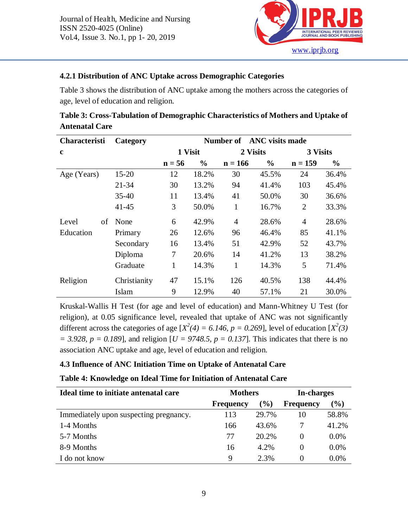

# **4.2.1 Distribution of ANC Uptake across Demographic Categories**

Table 3 shows the distribution of ANC uptake among the mothers across the categories of age, level of education and religion.

| <b>Characteristi</b> | Category     |              |               | <b>Number of</b> | <b>ANC</b> visits made |                |       |
|----------------------|--------------|--------------|---------------|------------------|------------------------|----------------|-------|
| $\mathbf c$          |              | 1 Visit      |               |                  | 2 Visits               | 3 Visits       |       |
|                      |              | $n = 56$     | $\frac{6}{6}$ | $n = 166$        | $\frac{6}{6}$          | $n = 159$      | $\%$  |
| Age (Years)          | $15 - 20$    | 12           | 18.2%         | 30               | 45.5%                  | 24             | 36.4% |
|                      | $21 - 34$    | 30           | 13.2%         | 94               | 41.4%                  | 103            | 45.4% |
|                      | $35 - 40$    | 11           | 13.4%         | 41               | 50.0%                  | 30             | 36.6% |
|                      | $41 - 45$    | 3            | 50.0%         | 1                | 16.7%                  | $\overline{2}$ | 33.3% |
| Level<br>of          | None         | 6            | 42.9%         | $\overline{4}$   | 28.6%                  | 4              | 28.6% |
| Education            | Primary      | 26           | 12.6%         | 96               | 46.4%                  | 85             | 41.1% |
|                      | Secondary    | 16           | 13.4%         | 51               | 42.9%                  | 52             | 43.7% |
|                      | Diploma      | 7            | 20.6%         | 14               | 41.2%                  | 13             | 38.2% |
|                      | Graduate     | $\mathbf{1}$ | 14.3%         | 1                | 14.3%                  | 5              | 71.4% |
| Religion             | Christianity | 47           | 15.1%         | 126              | 40.5%                  | 138            | 44.4% |
|                      | Islam        | 9            | 12.9%         | 40               | 57.1%                  | 21             | 30.0% |

**Table 3: Cross-Tabulation of Demographic Characteristics of Mothers and Uptake of Antenatal Care**

Kruskal-Wallis H Test (for age and level of education) and Mann-Whitney U Test (for religion), at 0.05 significance level, revealed that uptake of ANC was not significantly different across the categories of age  $[X^2(4) = 6.146, p = 0.269]$ , level of education  $[X^2(3)$  $= 3.928$ ,  $p = 0.189$ , and religion  $[*U* = 9748.5, p = 0.137]$ . This indicates that there is no association ANC uptake and age, level of education and religion.

# **4.3 Influence of ANC Initiation Time on Uptake of Antenatal Care**

# **Table 4: Knowledge on Ideal Time for Initiation of Antenatal Care**

| Ideal time to initiate antenatal care  | <b>Mothers</b>   |        | In-charges       |         |
|----------------------------------------|------------------|--------|------------------|---------|
|                                        | <b>Frequency</b> | $(\%)$ | <b>Frequency</b> | $(\%)$  |
| Immediately upon suspecting pregnancy. | 113              | 29.7%  | 10               | 58.8%   |
| 1-4 Months                             | 166              | 43.6%  |                  | 41.2%   |
| 5-7 Months                             | 77               | 20.2%  | $\theta$         | $0.0\%$ |
| 8-9 Months                             | 16               | 4.2%   | $\Omega$         | 0.0%    |
| I do not know                          | 9                | 2.3%   | $\theta$         | 0.0%    |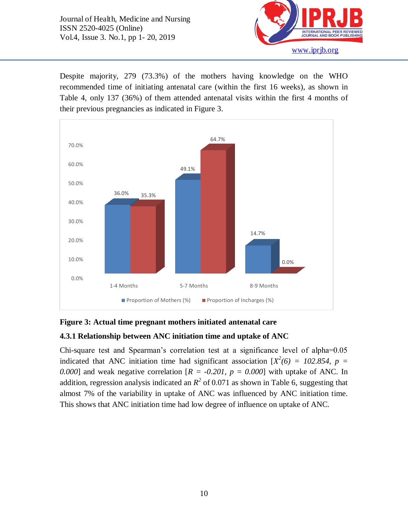Ī



Despite majority, 279 (73.3%) of the mothers having knowledge on the WHO recommended time of initiating antenatal care (within the first 16 weeks), as shown in Table 4, only 137 (36%) of them attended antenatal visits within the first 4 months of their previous pregnancies as indicated in Figure 3.



#### **Figure 3: Actual time pregnant mothers initiated antenatal care**

#### **4.3.1 Relationship between ANC initiation time and uptake of ANC**

Chi-square test and Spearman's correlation test at a significance level of alpha=0.05 indicated that ANC initiation time had significant association  $X^2(6) = 102.854$ ,  $p =$ 0.000] and weak negative correlation  $[R = -0.201, p = 0.000]$  with uptake of ANC. In addition, regression analysis indicated an  $R^2$  of 0.071 as shown in Table 6, suggesting that almost 7% of the variability in uptake of ANC was influenced by ANC initiation time. This shows that ANC initiation time had low degree of influence on uptake of ANC.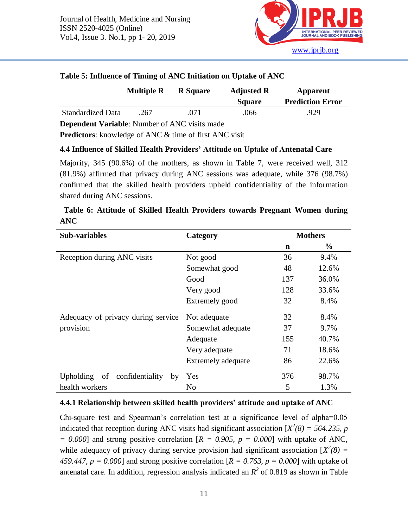

|                          | <b>Multiple R</b> | <b>R</b> Square | <b>Adjusted R</b><br><b>Square</b> | Apparent<br><b>Prediction Error</b> |
|--------------------------|-------------------|-----------------|------------------------------------|-------------------------------------|
| <b>Standardized Data</b> | .267              | 071             | .066                               | .929                                |

#### **Table 5: Influence of Timing of ANC Initiation on Uptake of ANC**

**Dependent Variable**: Number of ANC visits made

**Predictors**: knowledge of ANC & time of first ANC visit

# **4.4 Influence of Skilled Health Providers' Attitude on Uptake of Antenatal Care**

Majority, 345 (90.6%) of the mothers, as shown in Table 7, were received well, 312 (81.9%) affirmed that privacy during ANC sessions was adequate, while 376 (98.7%) confirmed that the skilled health providers upheld confidentiality of the information shared during ANC sessions.

| <b>Sub-variables</b>                  | Category           |     | <b>Mothers</b> |
|---------------------------------------|--------------------|-----|----------------|
|                                       |                    | n   | $\frac{0}{0}$  |
| Reception during ANC visits           | Not good           | 36  | 9.4%           |
|                                       | Somewhat good      | 48  | 12.6%          |
|                                       | Good               | 137 | 36.0%          |
|                                       | Very good          | 128 | 33.6%          |
|                                       | Extremely good     | 32  | 8.4%           |
| Adequacy of privacy during service    | Not adequate       | 32  | 8.4%           |
| provision                             | Somewhat adequate  | 37  | 9.7%           |
|                                       | Adequate           | 155 | 40.7%          |
|                                       | Very adequate      | 71  | 18.6%          |
|                                       | Extremely adequate | 86  | 22.6%          |
| confidentiality<br>Upholding of<br>by | Yes                | 376 | 98.7%          |
| health workers                        | No                 | 5   | 1.3%           |

**Table 6: Attitude of Skilled Health Providers towards Pregnant Women during ANC**

# **4.4.1 Relationship between skilled health providers' attitude and uptake of ANC**

Chi-square test and Spearman's correlation test at a significance level of alpha=0.05 indicated that reception during ANC visits had significant association  $X^2(8) = 564.235$ , p  $= 0.000$ ] and strong positive correlation  $[R = 0.905, p = 0.000]$  with uptake of ANC, while adequacy of privacy during service provision had significant association  $[X^2(8) =$ 459.447,  $p = 0.000$ ] and strong positive correlation  $[R = 0.763, p = 0.000]$  with uptake of antenatal care. In addition, regression analysis indicated an  $R^2$  of 0.819 as shown in Table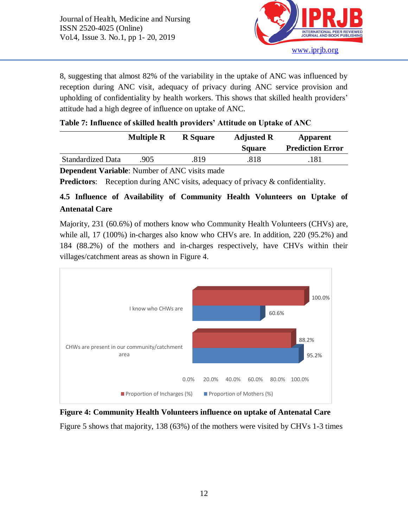

8, suggesting that almost 82% of the variability in the uptake of ANC was influenced by reception during ANC visit, adequacy of privacy during ANC service provision and upholding of confidentiality by health workers. This shows that skilled health providers' attitude had a high degree of influence on uptake of ANC.

| Table 7: Influence of skilled health providers' Attitude on Uptake of ANC |  |  |
|---------------------------------------------------------------------------|--|--|
|---------------------------------------------------------------------------|--|--|

|                          | <b>Multiple R</b> | <b>R</b> Square | <b>Adjusted R</b> | <b>Apparent</b>         |
|--------------------------|-------------------|-----------------|-------------------|-------------------------|
|                          |                   |                 | <b>Square</b>     | <b>Prediction Error</b> |
| <b>Standardized Data</b> | .905              | 819.            | .818              | 181                     |

**Dependent Variable**: Number of ANC visits made

**Predictors:** Reception during ANC visits, adequacy of privacy & confidentiality.

# **4.5 Influence of Availability of Community Health Volunteers on Uptake of Antenatal Care**

Majority, 231 (60.6%) of mothers know who Community Health Volunteers (CHVs) are, while all, 17 (100%) in-charges also know who CHVs are. In addition, 220 (95.2%) and 184 (88.2%) of the mothers and in-charges respectively, have CHVs within their villages/catchment areas as shown in Figure 4.



**Figure 4: Community Health Volunteers influence on uptake of Antenatal Care** Figure 5 shows that majority, 138 (63%) of the mothers were visited by CHVs 1-3 times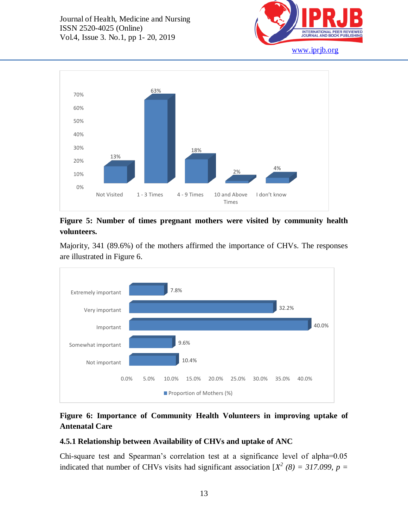



# **Figure 5: Number of times pregnant mothers were visited by community health volunteers.**

Majority, 341 (89.6%) of the mothers affirmed the importance of CHVs. The responses are illustrated in Figure 6.



# **Figure 6: Importance of Community Health Volunteers in improving uptake of Antenatal Care**

# **4.5.1 Relationship between Availability of CHVs and uptake of ANC**

Chi-square test and Spearman's correlation test at a significance level of alpha=0.05 indicated that number of CHVs visits had significant association  $[X^2 (8) = 317.099$ ,  $p =$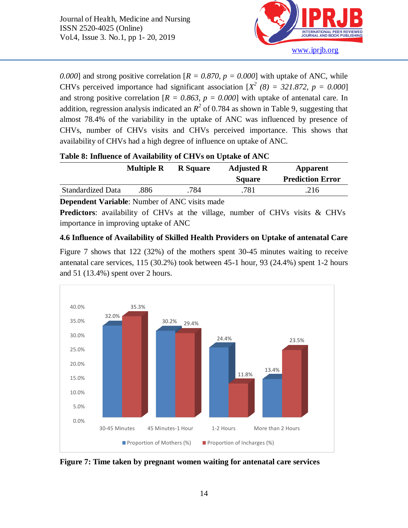

0.000] and strong positive correlation  $[R = 0.870, p = 0.000]$  with uptake of ANC, while CHVs perceived importance had significant association  $[X^2 (8) = 321.872, p = 0.000]$ and strong positive correlation  $[R = 0.863, p = 0.000]$  with uptake of antenatal care. In addition, regression analysis indicated an  $R^2$  of 0.784 as shown in Table 9, suggesting that almost 78.4% of the variability in the uptake of ANC was influenced by presence of CHVs, number of CHVs visits and CHVs perceived importance. This shows that availability of CHVs had a high degree of influence on uptake of ANC.

|                          | <b>Multiple R</b> | <b>R</b> Square | <b>Adjusted R</b><br><b>Square</b> | <b>Apparent</b><br><b>Prediction Error</b> |
|--------------------------|-------------------|-----------------|------------------------------------|--------------------------------------------|
| <b>Standardized Data</b> | 886               | 784             | .781                               | 216                                        |

**Dependent Variable**: Number of ANC visits made

**Predictors**: availability of CHVs at the village, number of CHVs visits & CHVs importance in improving uptake of ANC

#### **4.6 Influence of Availability of Skilled Health Providers on Uptake of antenatal Care**

Figure 7 shows that 122 (32%) of the mothers spent 30-45 minutes waiting to receive antenatal care services, 115 (30.2%) took between 45-1 hour, 93 (24.4%) spent 1-2 hours and 51 (13.4%) spent over 2 hours.



**Figure 7: Time taken by pregnant women waiting for antenatal care services**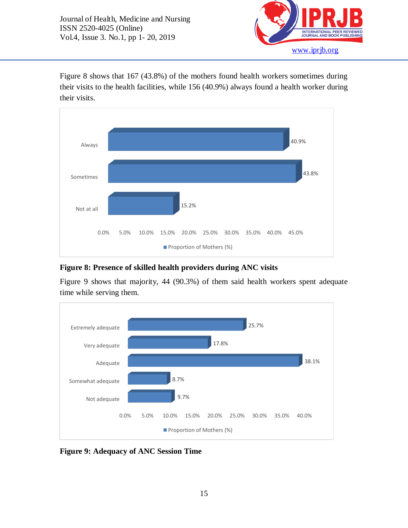

Figure 8 shows that 167 (43.8%) of the mothers found health workers sometimes during their visits to the health facilities, while 156 (40.9%) always found a health worker during their visits.



# **Figure 8: Presence of skilled health providers during ANC visits**

Figure 9 shows that majority, 44 (90.3%) of them said health workers spent adequate time while serving them.



**Figure 9: Adequacy of ANC Session Time**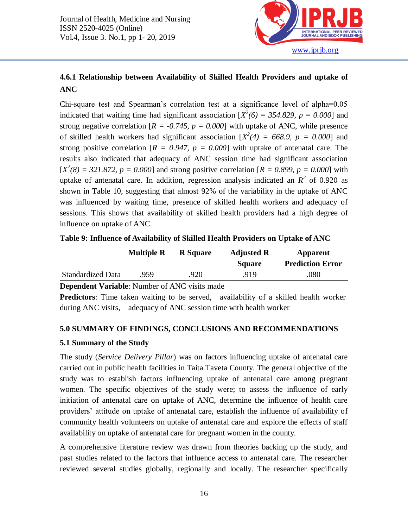

# **4.6.1 Relationship between Availability of Skilled Health Providers and uptake of ANC**

Chi-square test and Spearman's correlation test at a significance level of alpha=0.05 indicated that waiting time had significant association  $[X^2(6) = 354.829$ ,  $p = 0.000$ ] and strong negative correlation  $[R = -0.745, p = 0.000]$  with uptake of ANC, while presence of skilled health workers had significant association  $[X^2(4) = 668.9, p = 0.000]$  and strong positive correlation  $[R = 0.947, p = 0.000]$  with uptake of antenatal care. The results also indicated that adequacy of ANC session time had significant association  $[X^2(8) = 321.872, p = 0.000]$  and strong positive correlation  $[R = 0.899, p = 0.000]$  with uptake of antenatal care. In addition, regression analysis indicated an  $R^2$  of 0.920 as shown in Table 10, suggesting that almost 92% of the variability in the uptake of ANC was influenced by waiting time, presence of skilled health workers and adequacy of sessions. This shows that availability of skilled health providers had a high degree of influence on uptake of ANC.

|                          | <b>Multiple R</b> | <b>R</b> Square | <b>Adjusted R</b> | Apparent                |  |
|--------------------------|-------------------|-----------------|-------------------|-------------------------|--|
|                          |                   |                 | <b>Square</b>     | <b>Prediction Error</b> |  |
| <b>Standardized Data</b> | 959               | 920             | .919              | .080                    |  |

**Table 9: Influence of Availability of Skilled Health Providers on Uptake of ANC**

**Dependent Variable**: Number of ANC visits made

**Predictors**: Time taken waiting to be served, availability of a skilled health worker during ANC visits, adequacy of ANC session time with health worker

#### **5.0 SUMMARY OF FINDINGS, CONCLUSIONS AND RECOMMENDATIONS**

#### **5.1 Summary of the Study**

The study (*Service Delivery Pillar*) was on factors influencing uptake of antenatal care carried out in public health facilities in Taita Taveta County. The general objective of the study was to establish factors influencing uptake of antenatal care among pregnant women. The specific objectives of the study were; to assess the influence of early initiation of antenatal care on uptake of ANC, determine the influence of health care providers' attitude on uptake of antenatal care, establish the influence of availability of community health volunteers on uptake of antenatal care and explore the effects of staff availability on uptake of antenatal care for pregnant women in the county.

A comprehensive literature review was drawn from theories backing up the study, and past studies related to the factors that influence access to antenatal care. The researcher reviewed several studies globally, regionally and locally. The researcher specifically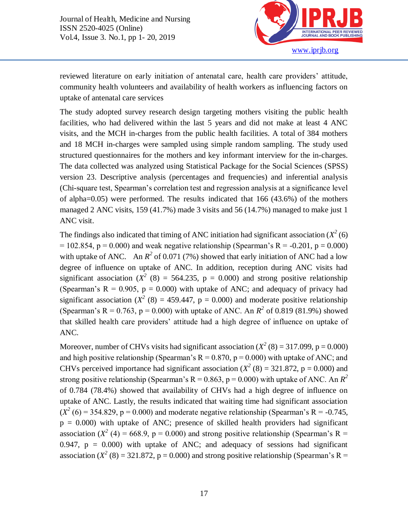

reviewed literature on early initiation of antenatal care, health care providers' attitude, community health volunteers and availability of health workers as influencing factors on uptake of antenatal care services

The study adopted survey research design targeting mothers visiting the public health facilities, who had delivered within the last 5 years and did not make at least 4 ANC visits, and the MCH in-charges from the public health facilities. A total of 384 mothers and 18 MCH in-charges were sampled using simple random sampling. The study used structured questionnaires for the mothers and key informant interview for the in-charges. The data collected was analyzed using Statistical Package for the Social Sciences (SPSS) version 23. Descriptive analysis (percentages and frequencies) and inferential analysis (Chi-square test, Spearman's correlation test and regression analysis at a significance level of alpha=0.05) were performed. The results indicated that 166 (43.6%) of the mothers managed 2 ANC visits, 159 (41.7%) made 3 visits and 56 (14.7%) managed to make just 1 ANC visit.

The findings also indicated that timing of ANC initiation had significant association  $(X^2(6))$  $= 102.854$ , p  $= 0.000$ ) and weak negative relationship (Spearman's R = -0.201, p  $= 0.000$ ) with uptake of ANC. An  $R^2$  of 0.071 (7%) showed that early initiation of ANC had a low degree of influence on uptake of ANC. In addition, reception during ANC visits had significant association  $(X^2 \ (8) = 564.235, \ p = 0.000)$  and strong positive relationship (Spearman's  $R = 0.905$ ,  $p = 0.000$ ) with uptake of ANC; and adequacy of privacy had significant association  $(X^2 (8) = 459.447, p = 0.000)$  and moderate positive relationship (Spearman's R = 0.763, p = 0.000) with uptake of ANC. An  $R^2$  of 0.819 (81.9%) showed that skilled health care providers' attitude had a high degree of influence on uptake of ANC.

Moreover, number of CHVs visits had significant association  $(X^2(8) = 317.099, p = 0.000)$ and high positive relationship (Spearman's  $R = 0.870$ ,  $p = 0.000$ ) with uptake of ANC; and CHVs perceived importance had significant association ( $X^2$  (8) = 321.872, p = 0.000) and strong positive relationship (Spearman's  $R = 0.863$ ,  $p = 0.000$ ) with uptake of ANC. An  $R^2$ of 0.784 (78.4%) showed that availability of CHVs had a high degree of influence on uptake of ANC. Lastly, the results indicated that waiting time had significant association  $(X^2(6) = 354.829, p = 0.000)$  and moderate negative relationship (Spearman's R = -0.745,  $p = 0.000$ ) with uptake of ANC; presence of skilled health providers had significant association ( $X^2$  (4) = 668.9, p = 0.000) and strong positive relationship (Spearman's R = 0.947,  $p = 0.000$ ) with uptake of ANC; and adequacy of sessions had significant association ( $X^2$  (8) = 321.872, p = 0.000) and strong positive relationship (Spearman's R =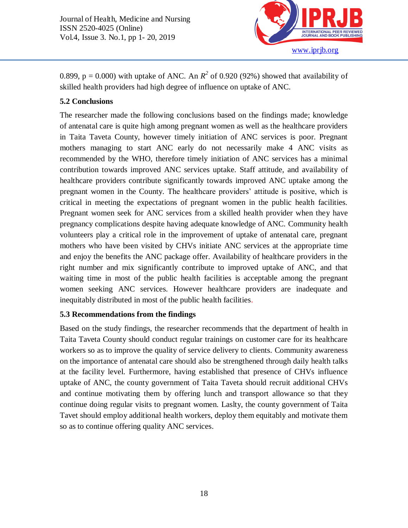

0.899,  $p = 0.000$ ) with uptake of ANC. An  $R^2$  of 0.920 (92%) showed that availability of skilled health providers had high degree of influence on uptake of ANC.

# **5.2 Conclusions**

Ī

The researcher made the following conclusions based on the findings made; knowledge of antenatal care is quite high among pregnant women as well as the healthcare providers in Taita Taveta County, however timely initiation of ANC services is poor. Pregnant mothers managing to start ANC early do not necessarily make 4 ANC visits as recommended by the WHO, therefore timely initiation of ANC services has a minimal contribution towards improved ANC services uptake. Staff attitude, and availability of healthcare providers contribute significantly towards improved ANC uptake among the pregnant women in the County. The healthcare providers' attitude is positive, which is critical in meeting the expectations of pregnant women in the public health facilities. Pregnant women seek for ANC services from a skilled health provider when they have pregnancy complications despite having adequate knowledge of ANC. Community health volunteers play a critical role in the improvement of uptake of antenatal care, pregnant mothers who have been visited by CHVs initiate ANC services at the appropriate time and enjoy the benefits the ANC package offer. Availability of healthcare providers in the right number and mix significantly contribute to improved uptake of ANC, and that waiting time in most of the public health facilities is acceptable among the pregnant women seeking ANC services. However healthcare providers are inadequate and inequitably distributed in most of the public health facilities.

# **5.3 Recommendations from the findings**

Based on the study findings, the researcher recommends that the department of health in Taita Taveta County should conduct regular trainings on customer care for its healthcare workers so as to improve the quality of service delivery to clients. Community awareness on the importance of antenatal care should also be strengthened through daily health talks at the facility level. Furthermore, having established that presence of CHVs influence uptake of ANC, the county government of Taita Taveta should recruit additional CHVs and continue motivating them by offering lunch and transport allowance so that they continue doing regular visits to pregnant women. Laslty, the county government of Taita Tavet should employ additional health workers, deploy them equitably and motivate them so as to continue offering quality ANC services.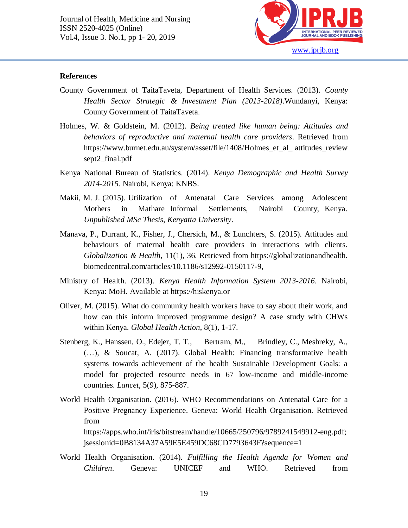

#### **References**

Ī

- County Government of TaitaTaveta, Department of Health Services. (2013). *County Health Sector Strategic & Investment Plan (2013-2018)*.Wundanyi, Kenya: County Government of TaitaTaveta.
- Holmes, W. & Goldstein, M. (2012). *Being treated like human being: Attitudes and behaviors of reproductive and maternal health care providers*. Retrieved from https://www.burnet.edu.au/system/asset/file/1408/Holmes\_et\_al\_ attitudes\_review sept2\_final.pdf
- Kenya National Bureau of Statistics. (2014). *Kenya Demographic and Health Survey 2014-2015.* Nairobi, Kenya: KNBS.
- Makii, M. J. (2015). Utilization of Antenatal Care Services among Adolescent Mothers in Mathare Informal Settlements, Nairobi County, Kenya. *Unpublished MSc Thesis, Kenyatta University*.
- Manava, P., Durrant, K., Fisher, J., Chersich, M., & Lunchters, S. (2015). Attitudes and behaviours of maternal health care providers in interactions with clients. *Globalization & Health*, 11(1), 36. Retrieved from [https://globalizationandhealth.](https://globalizationandhealth.biomedcentral.com/articles/10.1186/s12992-0150117-9) [biomedcentral.com/articles/10.1186/s12992-0150117-9,](https://globalizationandhealth.biomedcentral.com/articles/10.1186/s12992-0150117-9)
- Ministry of Health. (2013). *Kenya Health Information System 2013-2016*. Nairobi, Kenya: MoH. Available at https://hiskenya.or
- Oliver, M. (2015). What do community health workers have to say about their work, and how can this inform improved programme design? A case study with CHWs within Kenya. *Global Health Action*, 8(1), 1-17.
- Stenberg, K., Hanssen, O., Edejer, T. T., Bertram, M., Brindley, C., Meshreky, A., (…), & Soucat, A. (2017). Global Health: Financing transformative health systems towards achievement of the health Sustainable Development Goals: a model for projected resource needs in 67 low-income and middle-income countries. *Lancet*, 5(9), 875-887.
- World Health Organisation. (2016). WHO Recommendations on Antenatal Care for a Positive Pregnancy Experience. Geneva: World Health Organisation. Retrieved from https://apps.who.int/iris/bitstream/handle/10665/250796/9789241549912-eng.pdf; jsessionid=0B8134A37A59E5E459DC68CD7793643F?sequence=1
- World Health Organisation. (2014). *Fulfilling the Health Agenda for Women and Children*. Geneva: UNICEF and WHO. Retrieved from